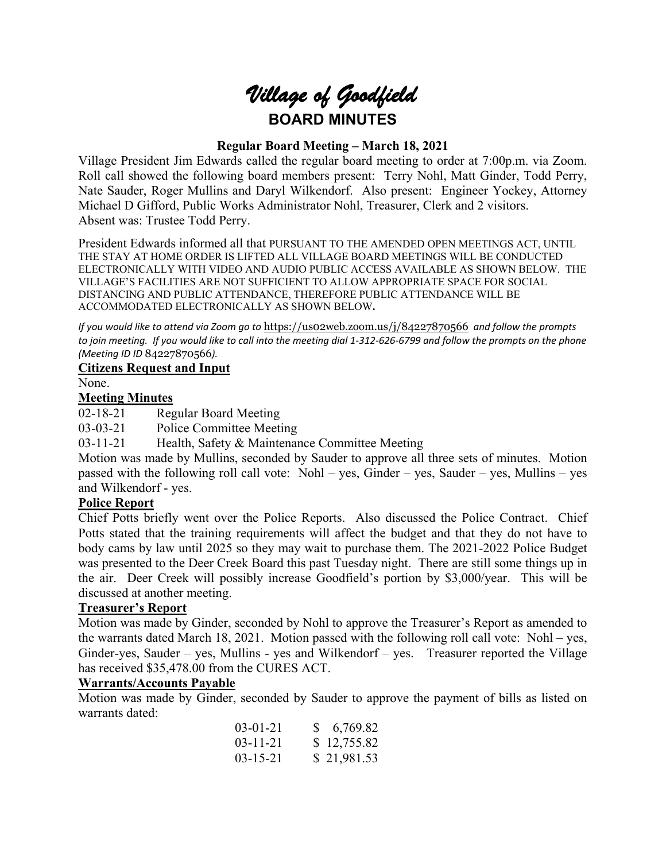

# **Regular Board Meeting – March 18, 2021**

Village President Jim Edwards called the regular board meeting to order at 7:00p.m. via Zoom. Roll call showed the following board members present: Terry Nohl, Matt Ginder, Todd Perry, Nate Sauder, Roger Mullins and Daryl Wilkendorf. Also present: Engineer Yockey, Attorney Michael D Gifford, Public Works Administrator Nohl, Treasurer, Clerk and 2 visitors. Absent was: Trustee Todd Perry.

President Edwards informed all that PURSUANT TO THE AMENDED OPEN MEETINGS ACT, UNTIL THE STAY AT HOME ORDER IS LIFTED ALL VILLAGE BOARD MEETINGS WILL BE CONDUCTED ELECTRONICALLY WITH VIDEO AND AUDIO PUBLIC ACCESS AVAILABLE AS SHOWN BELOW. THE VILLAGE'S FACILITIES ARE NOT SUFFICIENT TO ALLOW APPROPRIATE SPACE FOR SOCIAL DISTANCING AND PUBLIC ATTENDANCE, THEREFORE PUBLIC ATTENDANCE WILL BE ACCOMMODATED ELECTRONICALLY AS SHOWN BELOW**.**

*If you would like to attend via Zoom go to* <https://us02web.zoom.us/j/84227870566> *and follow the prompts*  to join meeting. If you would like to call into the meeting dial 1-312-626-6799 and follow the prompts on the phone *(Meeting ID ID* 84227870566*).*

## **Citizens Request and Input**

None.

#### **Meeting Minutes**

02-18-21 Regular Board Meeting

03-03-21 Police Committee Meeting

03-11-21 Health, Safety & Maintenance Committee Meeting

Motion was made by Mullins, seconded by Sauder to approve all three sets of minutes. Motion passed with the following roll call vote: Nohl – yes, Ginder – yes, Sauder – yes, Mullins – yes and Wilkendorf - yes.

## **Police Report**

Chief Potts briefly went over the Police Reports. Also discussed the Police Contract. Chief Potts stated that the training requirements will affect the budget and that they do not have to body cams by law until 2025 so they may wait to purchase them. The 2021-2022 Police Budget was presented to the Deer Creek Board this past Tuesday night. There are still some things up in the air. Deer Creek will possibly increase Goodfield's portion by \$3,000/year. This will be discussed at another meeting.

## **Treasurer's Report**

Motion was made by Ginder, seconded by Nohl to approve the Treasurer's Report as amended to the warrants dated March 18, 2021. Motion passed with the following roll call vote: Nohl – yes, Ginder-yes, Sauder – yes, Mullins - yes and Wilkendorf – yes. Treasurer reported the Village has received \$35,478.00 from the CURES ACT.

#### **Warrants/Accounts Payable**

Motion was made by Ginder, seconded by Sauder to approve the payment of bills as listed on warrants dated:

| $03-01-21$     | \$6,769.82  |
|----------------|-------------|
| $03 - 11 - 21$ | \$12,755.82 |
| $03 - 15 - 21$ | \$21,981.53 |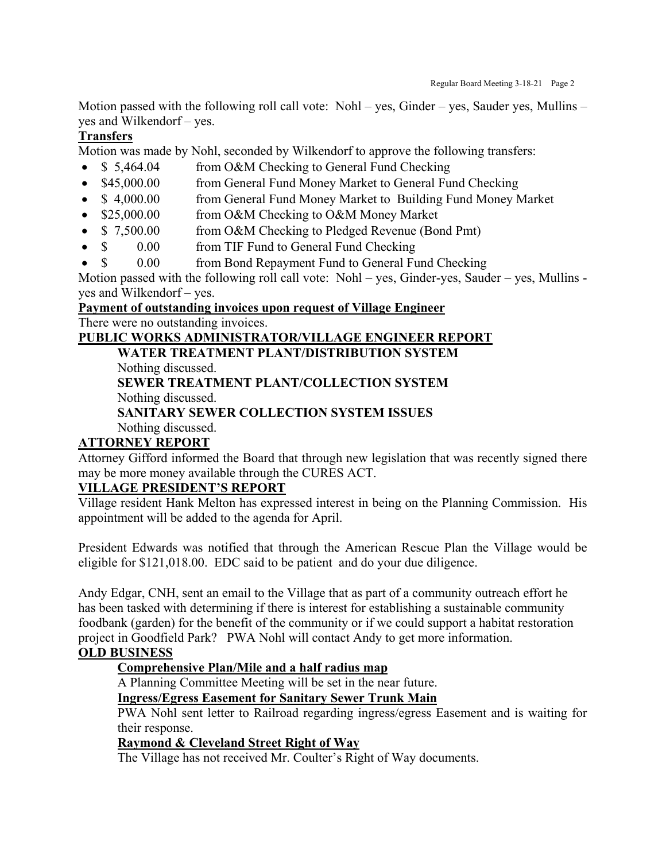Motion passed with the following roll call vote: Nohl – yes, Ginder – yes, Sauder yes, Mullins – yes and Wilkendorf – yes.

# **Transfers**

Motion was made by Nohl, seconded by Wilkendorf to approve the following transfers:

- \$5,464.04 from O&M Checking to General Fund Checking
- \$45,000.00 from General Fund Money Market to General Fund Checking
- \$4,000.00 from General Fund Money Market to Building Fund Money Market
- \$25,000.00 from O&M Checking to O&M Money Market
- \$ 7,500.00 from O&M Checking to Pledged Revenue (Bond Pmt)
- \$ 0.00 from TIF Fund to General Fund Checking
- \$ 0.00 from Bond Repayment Fund to General Fund Checking

Motion passed with the following roll call vote: Nohl – yes, Ginder-yes, Sauder – yes, Mullins yes and Wilkendorf – yes.

# **Payment of outstanding invoices upon request of Village Engineer** There were no outstanding invoices.

# **PUBLIC WORKS ADMINISTRATOR/VILLAGE ENGINEER REPORT**

**WATER TREATMENT PLANT/DISTRIBUTION SYSTEM**

Nothing discussed.

**SEWER TREATMENT PLANT/COLLECTION SYSTEM** Nothing discussed.

# **SANITARY SEWER COLLECTION SYSTEM ISSUES** Nothing discussed.

# **ATTORNEY REPORT**

Attorney Gifford informed the Board that through new legislation that was recently signed there may be more money available through the CURES ACT.

# **VILLAGE PRESIDENT'S REPORT**

Village resident Hank Melton has expressed interest in being on the Planning Commission. His appointment will be added to the agenda for April.

President Edwards was notified that through the American Rescue Plan the Village would be eligible for \$121,018.00. EDC said to be patient and do your due diligence.

Andy Edgar, CNH, sent an email to the Village that as part of a community outreach effort he has been tasked with determining if there is interest for establishing a sustainable community foodbank (garden) for the benefit of the community or if we could support a habitat restoration project in Goodfield Park? PWA Nohl will contact Andy to get more information.

# **OLD BUSINESS**

# **Comprehensive Plan/Mile and a half radius map**

A Planning Committee Meeting will be set in the near future.

**Ingress/Egress Easement for Sanitary Sewer Trunk Main**

PWA Nohl sent letter to Railroad regarding ingress/egress Easement and is waiting for their response.

# **Raymond & Cleveland Street Right of Way**

The Village has not received Mr. Coulter's Right of Way documents.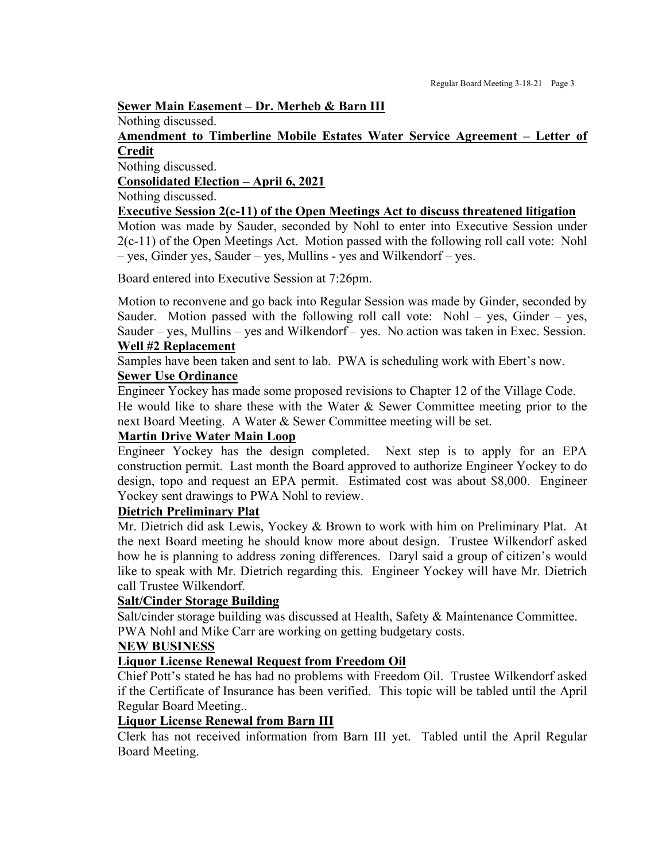#### **Sewer Main Easement – Dr. Merheb & Barn III**

Nothing discussed.

#### **Amendment to Timberline Mobile Estates Water Service Agreement – Letter of Credit**

Nothing discussed.

**Consolidated Election – April 6, 2021** 

#### Nothing discussed.

#### **Executive Session 2(c-11) of the Open Meetings Act to discuss threatened litigation**

Motion was made by Sauder, seconded by Nohl to enter into Executive Session under 2(c-11) of the Open Meetings Act. Motion passed with the following roll call vote: Nohl – yes, Ginder yes, Sauder – yes, Mullins - yes and Wilkendorf – yes.

Board entered into Executive Session at 7:26pm.

Motion to reconvene and go back into Regular Session was made by Ginder, seconded by Sauder. Motion passed with the following roll call vote: Nohl – yes, Ginder – yes, Sauder – yes, Mullins – yes and Wilkendorf – yes. No action was taken in Exec. Session.

#### **Well #2 Replacement**

Samples have been taken and sent to lab. PWA is scheduling work with Ebert's now.

# **Sewer Use Ordinance**

Engineer Yockey has made some proposed revisions to Chapter 12 of the Village Code. He would like to share these with the Water  $\&$  Sewer Committee meeting prior to the

next Board Meeting. A Water & Sewer Committee meeting will be set.

# **Martin Drive Water Main Loop**

Engineer Yockey has the design completed. Next step is to apply for an EPA construction permit. Last month the Board approved to authorize Engineer Yockey to do design, topo and request an EPA permit. Estimated cost was about \$8,000. Engineer Yockey sent drawings to PWA Nohl to review.

# **Dietrich Preliminary Plat**

Mr. Dietrich did ask Lewis, Yockey & Brown to work with him on Preliminary Plat. At the next Board meeting he should know more about design. Trustee Wilkendorf asked how he is planning to address zoning differences. Daryl said a group of citizen's would like to speak with Mr. Dietrich regarding this. Engineer Yockey will have Mr. Dietrich call Trustee Wilkendorf.

## **Salt/Cinder Storage Building**

Salt/cinder storage building was discussed at Health, Safety & Maintenance Committee. PWA Nohl and Mike Carr are working on getting budgetary costs.

## **NEW BUSINESS**

## **Liquor License Renewal Request from Freedom Oil**

Chief Pott's stated he has had no problems with Freedom Oil. Trustee Wilkendorf asked if the Certificate of Insurance has been verified. This topic will be tabled until the April Regular Board Meeting..

## **Liquor License Renewal from Barn III**

Clerk has not received information from Barn III yet. Tabled until the April Regular Board Meeting.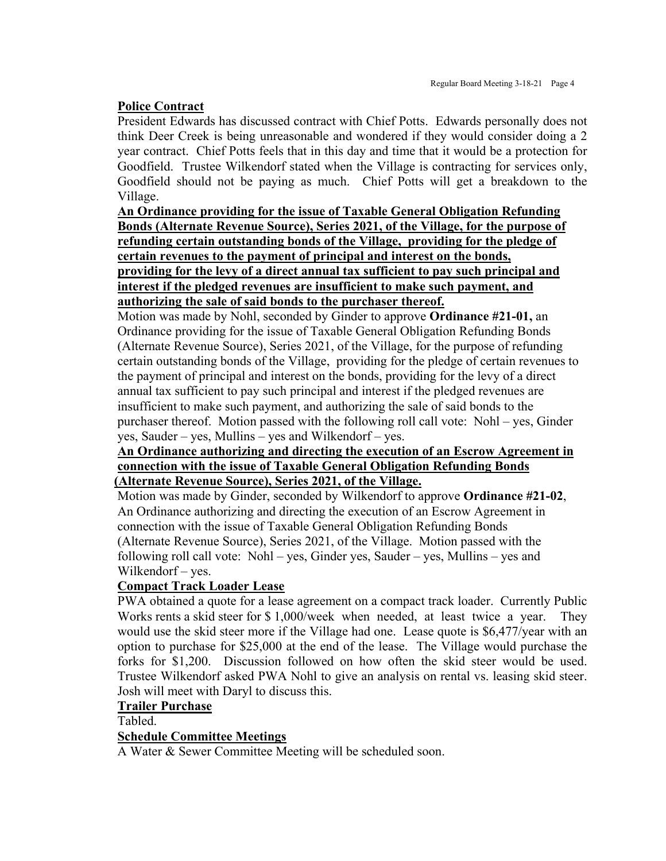# **Police Contract**

President Edwards has discussed contract with Chief Potts. Edwards personally does not think Deer Creek is being unreasonable and wondered if they would consider doing a 2 year contract. Chief Potts feels that in this day and time that it would be a protection for Goodfield. Trustee Wilkendorf stated when the Village is contracting for services only, Goodfield should not be paying as much. Chief Potts will get a breakdown to the Village.

# **An Ordinance providing for the issue of Taxable General Obligation Refunding Bonds (Alternate Revenue Source), Series 2021, of the Village, for the purpose of refunding certain outstanding bonds of the Village, providing for the pledge of certain revenues to the payment of principal and interest on the bonds, providing for the levy of a direct annual tax sufficient to pay such principal and interest if the pledged revenues are insufficient to make such payment, and authorizing the sale of said bonds to the purchaser thereof.**

Motion was made by Nohl, seconded by Ginder to approve **Ordinance #21-01,** an Ordinance providing for the issue of Taxable General Obligation Refunding Bonds (Alternate Revenue Source), Series 2021, of the Village, for the purpose of refunding certain outstanding bonds of the Village, providing for the pledge of certain revenues to the payment of principal and interest on the bonds, providing for the levy of a direct annual tax sufficient to pay such principal and interest if the pledged revenues are insufficient to make such payment, and authorizing the sale of said bonds to the purchaser thereof. Motion passed with the following roll call vote: Nohl – yes, Ginder yes, Sauder – yes, Mullins – yes and Wilkendorf – yes.

## **An Ordinance authorizing and directing the execution of an Escrow Agreement in connection with the issue of Taxable General Obligation Refunding Bonds (Alternate Revenue Source), Series 2021, of the Village.**

Motion was made by Ginder, seconded by Wilkendorf to approve **Ordinance #21-02**, An Ordinance authorizing and directing the execution of an Escrow Agreement in connection with the issue of Taxable General Obligation Refunding Bonds (Alternate Revenue Source), Series 2021, of the Village. Motion passed with the following roll call vote: Nohl – yes, Ginder yes, Sauder – yes, Mullins – yes and Wilkendorf – yes.

# **Compact Track Loader Lease**

PWA obtained a quote for a lease agreement on a compact track loader. Currently Public Works rents a skid steer for \$ 1,000/week when needed, at least twice a year. They would use the skid steer more if the Village had one. Lease quote is \$6,477/year with an option to purchase for \$25,000 at the end of the lease. The Village would purchase the forks for \$1,200. Discussion followed on how often the skid steer would be used. Trustee Wilkendorf asked PWA Nohl to give an analysis on rental vs. leasing skid steer. Josh will meet with Daryl to discuss this.

## **Trailer Purchase**

Tabled.

## **Schedule Committee Meetings**

A Water & Sewer Committee Meeting will be scheduled soon.